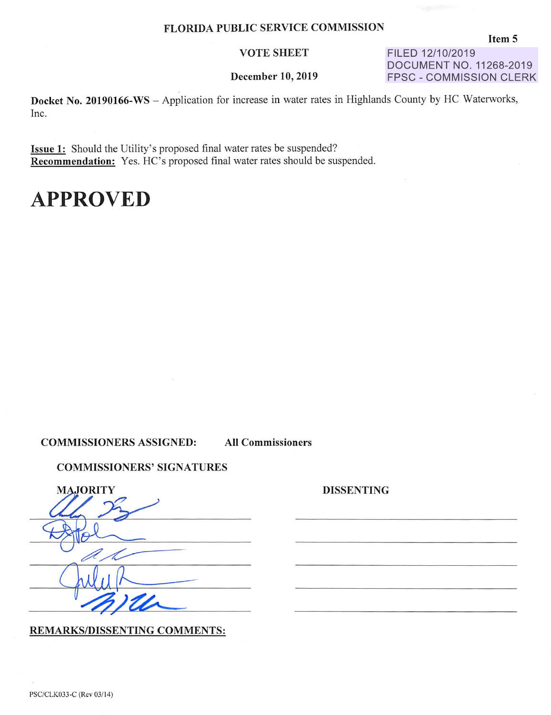#### VOTE SHEET

December 10, 2019

FILED **12/10/2019 DOCUMENT NO. 11268-2019 FPSC** - **COMMISSION CLERK** 

**Docket No. 20190166-WS** - Application for increase in water rates in Highlands County by HC Waterworks, Inc.

**Issue 1:** Should the Utility's proposed final water rates be suspended? **Recommendation:** Yes. HC's proposed final water rates should be suspended.

#### **APPROVED**

**COMMISSIONERS ASSIGNED: All Commissioners** 

**DISSENTING** 

**COMMISSIONERS' SIGNATURES** 

| <b>MAJORITY</b> |
|-----------------|
|                 |
|                 |
|                 |
| $\mathbf{Z}$    |

**REMARKS/DISSENTING COMMENTS:** 

PSC/CLK033-C (Rev 03/14)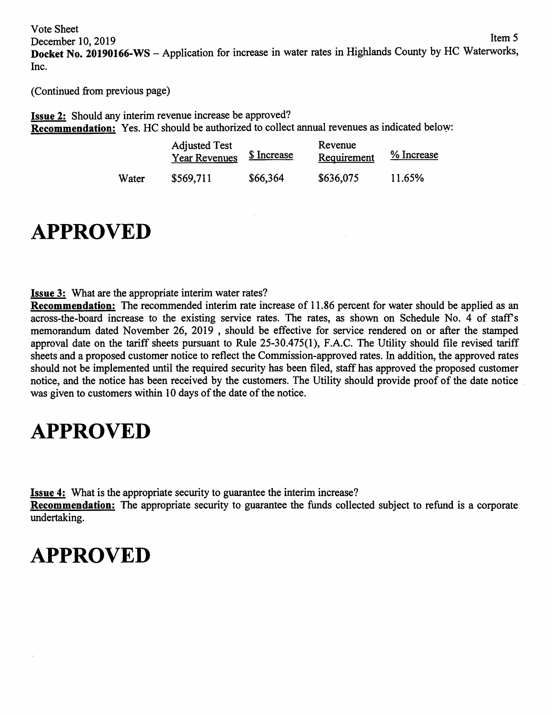Vote Sheet December 10, 2019 Item 5 **Docket No. 20190166-WS** - Application for increase in water rates in Highlands County by HC Waterworks, Inc.

(Continued from previous page)

**Issue 2:** Should any interim revenue increase be approved? **Recommendation:** Yes. HC should be authorized to collect annual revenues as indicated below:

|       | <b>Adjusted Test</b><br><b>Year Revenues</b> | <u>\$ Increase</u> | Revenue<br>Requirement | % Increase |
|-------|----------------------------------------------|--------------------|------------------------|------------|
| Water | \$569,711                                    | \$66,364           | \$636,075              | 11.65%     |

### **APPROVED**

**Issue 3:** What are the appropriate interim water rates?

**Recommendation:** The recommended interim rate increase of 11.86 percent for water should be applied as an across-the-board increase to the existing service rates. The rates, as shown on Schedule No. 4 of staff's memorandum dated November 26, 2019 , should be effective for service rendered on or after the stamped approval date on the tariff sheets pursuant to Rule 25-30.475(1), F.A.C. The Utility should file revised tariff sheets and a proposed customer notice to reflect the Commission-approved rates. In addition, the approved rates should not be implemented until the required security has been filed, staff has approved the proposed customer notice, and the notice has been received by the customers. The Utility should provide proof of the date notice was given to customers within 10 days of the date of the notice.

## **APPROVED**

**Issue 4:** What is the appropriate security to guarantee the interim increase?

**Recommendation:** The appropriate security to guarantee the funds collected subject to refund is a corporate undertaking.

#### **APPROVED**